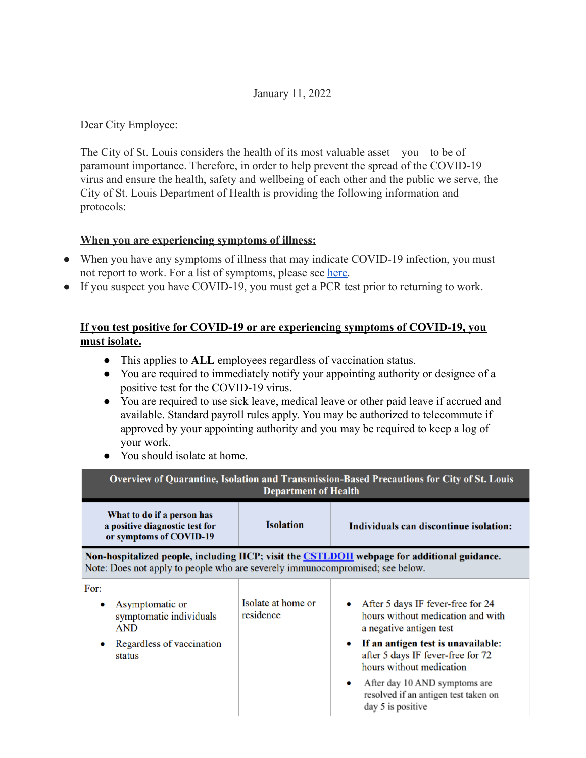### January 11, 2022

Dear City Employee:

The City of St. Louis considers the health of its most valuable asset – you – to be of paramount importance. Therefore, in order to help prevent the spread of the COVID-19 virus and ensure the health, safety and wellbeing of each other and the public we serve, the City of St. Louis Department of Health is providing the following information and protocols:

## **When you are experiencing symptoms of illness:**

- When you have any symptoms of illness that may indicate COVID-19 infection, you must not report to work. For a list of symptoms, please see [here.](https://www.cdc.gov/coronavirus/2019-ncov/hcp/clinical-care-quick-reference.html)
- If you suspect you have COVID-19, you must get a PCR test prior to returning to work.

# **If you test positive for COVID-19 or are experiencing symptoms of COVID-19, you must isolate.**

- This applies to **ALL** employees regardless of vaccination status.
- You are required to immediately notify your appointing authority or designee of a positive test for the COVID-19 virus.
- You are required to use sick leave, medical leave or other paid leave if accrued and available. Standard payroll rules apply. You may be authorized to telecommute if approved by your appointing authority and you may be required to keep a log of your work.
- You should isolate at home.

| Overview of Quarantine, Isolation and Transmission-Based Precautions for City of St. Louis<br><b>Department of Health</b>                                                          |                                 |                                                                                                                                                                                                                                                                                                                     |
|------------------------------------------------------------------------------------------------------------------------------------------------------------------------------------|---------------------------------|---------------------------------------------------------------------------------------------------------------------------------------------------------------------------------------------------------------------------------------------------------------------------------------------------------------------|
| What to do if a person has<br>a positive diagnostic test for<br>or symptoms of COVID-19                                                                                            | <b>Isolation</b>                | Individuals can discontinue isolation:                                                                                                                                                                                                                                                                              |
| Non-hospitalized people, including HCP; visit the <b>CSTLDOH</b> webpage for additional guidance.<br>Note: Does not apply to people who are severely immunocompromised; see below. |                                 |                                                                                                                                                                                                                                                                                                                     |
| For:<br>Asymptomatic or<br>٠<br>symptomatic individuals<br><b>AND</b><br>Regardless of vaccination<br>status                                                                       | Isolate at home or<br>residence | After 5 days IF fever-free for 24<br>hours without medication and with<br>a negative antigen test<br>If an antigen test is unavailable:<br>$\bullet$<br>after 5 days IF fever-free for 72<br>hours without medication<br>After day 10 AND symptoms are<br>resolved if an antigen test taken on<br>day 5 is positive |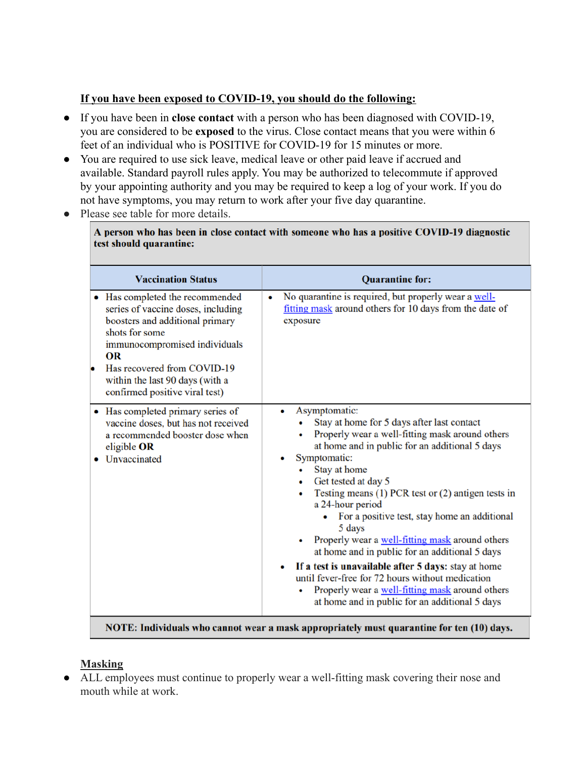## **If you have been exposed to COVID-19, you should do the following:**

- If you have been in **close contact** with a person who has been diagnosed with COVID-19, you are considered to be **exposed** to the virus. Close contact means that you were within 6 feet of an individual who is POSITIVE for COVID-19 for 15 minutes or more.
- You are required to use sick leave, medical leave or other paid leave if accrued and available. Standard payroll rules apply. You may be authorized to telecommute if approved by your appointing authority and you may be required to keep a log of your work. If you do not have symptoms, you may return to work after your five day quarantine.
- Please see table for more details.

A person who has been in close contact with someone who has a positive COVID-19 diagnostic test should quarantine:

| <b>Vaccination Status</b>                                                                                                                                                                                                                                             | <b>Quarantine for:</b>                                                                                                                                                                                                                                                                                                                                                                                                                                                                                                                                                                                                                                                                                              |
|-----------------------------------------------------------------------------------------------------------------------------------------------------------------------------------------------------------------------------------------------------------------------|---------------------------------------------------------------------------------------------------------------------------------------------------------------------------------------------------------------------------------------------------------------------------------------------------------------------------------------------------------------------------------------------------------------------------------------------------------------------------------------------------------------------------------------------------------------------------------------------------------------------------------------------------------------------------------------------------------------------|
| • Has completed the recommended<br>series of vaccine doses, including<br>boosters and additional primary<br>shots for some<br>immunocompromised individuals<br>OR<br>Has recovered from COVID-19<br>within the last 90 days (with a<br>confirmed positive viral test) | No quarantine is required, but properly wear a well-<br>$\bullet$<br>fitting mask around others for 10 days from the date of<br>exposure                                                                                                                                                                                                                                                                                                                                                                                                                                                                                                                                                                            |
| • Has completed primary series of<br>vaccine doses, but has not received<br>a recommended booster dose when<br>eligible OR<br>Unvaccinated                                                                                                                            | Asymptomatic:<br>$\bullet$<br>Stay at home for 5 days after last contact<br>Properly wear a well-fitting mask around others<br>at home and in public for an additional 5 days<br>Symptomatic:<br>Stay at home<br>Get tested at day 5<br>Testing means $(1)$ PCR test or $(2)$ antigen tests in<br>٠<br>a 24-hour period<br>For a positive test, stay home an additional<br>5 days<br>Properly wear a well-fitting mask around others<br>at home and in public for an additional 5 days<br>If a test is unavailable after 5 days: stay at home<br>$\bullet$<br>until fever-free for 72 hours without medication<br>Properly wear a well-fitting mask around others<br>at home and in public for an additional 5 days |

NOTE: Individuals who cannot wear a mask appropriately must quarantine for ten (10) days.

## **Masking**

● ALL employees must continue to properly wear a well-fitting mask covering their nose and mouth while at work.